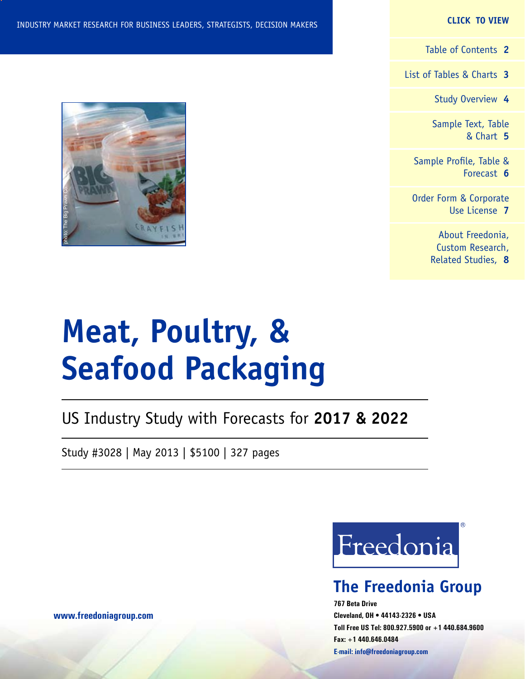#### **CLICK TO VIEW**

[Table of Contents](#page-1-0) **2**

[List of Tables & Charts](#page-2-0) **3**

[Study Overview](#page-3-0) **4**

[Sample Text, Table](#page-4-0) [& Chart](#page-4-0) **5**

[Sample Profile, Table &](#page-5-0) [Forecast](#page-5-0) **6**

[Order Form & Corporate](#page-6-0) [Use License](#page-6-0) **7**

> [About Freedonia,](#page-7-0) [Custom Research,](#page-7-0) [Related Studies,](#page-7-0) **8**

# **Meat, Poultry, & Seafood Packaging**

US Industry Study with Forecasts for **2017 & 2022**

Study #3028 | May 2013 | \$5100 | 327 pages

Freedonia

### **The Freedonia Group**

**767 Beta Drive Cleveland, OH • 44143-2326 • USA Toll Free US Tel: 800.927.5900 or +1 440.684.9600 Fax: +1 440.646.0484 E-mail: [info@freedoniagroup.com](mailto:info@freedoniagroup.com)**

**[www.freedoniagroup.com](http://www.freedoniagroup.com/Home.aspx?ReferrerId=FM-Bro)**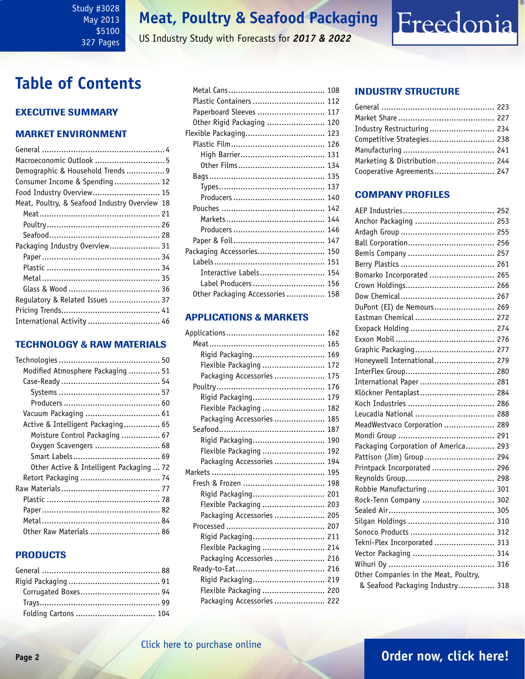### <span id="page-1-0"></span>Study #3028 May 2013 \$5100 327 Pages

### **Meat, Poultry & Seafood Packaging**

US Industry Study with Forecasts for *2017 & 2022*

### **Table of Contents**

### Executive Summary

### Market EnvironmenT

| Macroeconomic Outlook  5                      |
|-----------------------------------------------|
| Demographic & Household Trends  9             |
| Consumer Income & Spending 12                 |
| Food Industry Overview 15                     |
| Meat, Poultry, & Seafood Industry Overview 18 |
|                                               |
|                                               |
|                                               |
| Packaging Industry Overview 31                |
|                                               |
|                                               |
|                                               |
|                                               |
| Regulatory & Related Issues  37               |
|                                               |
| International Activity  46                    |
|                                               |

### TECHNOLOGY & RAW MATERIALS

| Modified Atmosphere Packaging  51        |  |
|------------------------------------------|--|
|                                          |  |
|                                          |  |
|                                          |  |
|                                          |  |
| Active & Intelligent Packaging 65        |  |
| Moisture Control Packaging  67           |  |
| 0xygen Scavengers  68                    |  |
|                                          |  |
| Other Active & Intelligent Packaging  72 |  |
|                                          |  |
|                                          |  |
|                                          |  |
|                                          |  |
|                                          |  |
| 0ther Raw Materials  86                  |  |
|                                          |  |

### PRODUCTS

| Plastic Containers  112         |  |
|---------------------------------|--|
| Paperboard Sleeves  117         |  |
| Other Rigid Packaging  120      |  |
| Flexible Packaging 123          |  |
|                                 |  |
|                                 |  |
|                                 |  |
|                                 |  |
|                                 |  |
|                                 |  |
|                                 |  |
|                                 |  |
|                                 |  |
|                                 |  |
| Packaging Accessories 150       |  |
|                                 |  |
| Interactive Labels 154          |  |
| Label Producers 156             |  |
| Other Packaging Accessories 158 |  |
|                                 |  |

### APPLICATIONS & MARKETS

| Rigid Packaging 169        |  |
|----------------------------|--|
| Flexible Packaging  172    |  |
| Packaging Accessories  175 |  |
|                            |  |
| Rigid Packaging 179        |  |
| Flexible Packaging  182    |  |
| Packaging Accessories  185 |  |
|                            |  |
| Rigid Packaging 190        |  |
| Flexible Packaging  192    |  |
| Packaging Accessories  194 |  |
|                            |  |
|                            |  |
| Rigid Packaging 201        |  |
| Flexible Packaging  203    |  |
| Packaging Accessories  205 |  |
|                            |  |
| Rigid Packaging 211        |  |
| Flexible Packaging  214    |  |
| Packaging Accessories  216 |  |
|                            |  |
| Rigid Packaging 219        |  |
| Flexible Packaging  220    |  |
| Packaging Accessories  222 |  |

### INDUSTRY STRUCTURE

| Industry Restructuring  234  |  |
|------------------------------|--|
| Competitive Strategies 238   |  |
|                              |  |
| Marketing & Distribution 244 |  |
| Cooperative Agreements 247   |  |

Freedonia

### Company Profiles

| Bomarko Incorporated  265             |
|---------------------------------------|
|                                       |
|                                       |
| DuPont (EI) de Nemours 269            |
| Eastman Chemical  272                 |
|                                       |
|                                       |
| Graphic Packaging 277                 |
| Honeywell International 279           |
|                                       |
| International Paper  281              |
| Klöckner Pentaplast 284               |
|                                       |
| Leucadia National  288                |
| MeadWestvaco Corporation  289         |
|                                       |
| Packaging Corporation of America 293  |
| Pattison (Jim) Group  294             |
| Printpack Incorporated  296           |
|                                       |
| Robbie Manufacturing 301              |
| Rock-Tenn Company  302                |
|                                       |
|                                       |
|                                       |
| Tekni-Plex Incorporated  313          |
|                                       |
|                                       |
| Other Companies in the Meat, Poultry, |
| & Seafood Packaging Industry 318      |

### **Page 2 [Order now, click here!](#page-6-0)**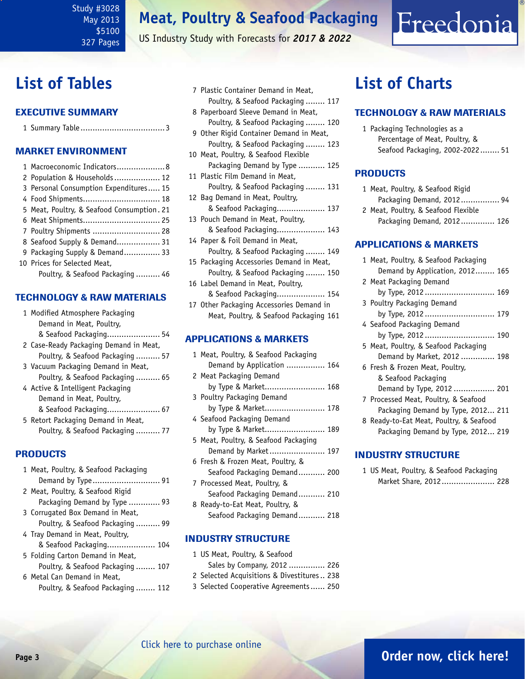US Industry Study with Forecasts for *2017 & 2022*

### <span id="page-2-0"></span>**List of Tables**

### Executive Summary

|--|

### Market EnvironmenT

| 1 Macroeconomic Indicators 8               |  |
|--------------------------------------------|--|
| 2 Population & Households 12               |  |
| 3 Personal Consumption Expenditures 15     |  |
| 4 Food Shipments 18                        |  |
| 5 Meat, Poultry, & Seafood Consumption. 21 |  |
| 6 Meat Shipments 25                        |  |
| 7 Poultry Shipments  28                    |  |
| 8 Seafood Supply & Demand 31               |  |
| 9 Packaging Supply & Demand 33             |  |
| 10 Prices for Selected Meat,               |  |
| Poultry, & Seafood Packaging  46           |  |

### TECHNOLOGY & RAW MATERIALS

| 1 Modified Atmosphere Packaging        |
|----------------------------------------|
| Demand in Meat, Poultry,               |
| & Seafood Packaging 54                 |
| 2 Case-Ready Packaging Demand in Meat, |
| Poultry, & Seafood Packaging 57        |
| 3 Vacuum Packaging Demand in Meat,     |
| Poultry, & Seafood Packaging 65        |
| 4 Active & Intelligent Packaging       |
| Demand in Meat, Poultry,               |
| & Seafood Packaging 67                 |
| 5 Retort Packaging Demand in Meat,     |
| Poultry, & Seafood Packaging 77        |

### PRODUCTS

| 1 Meat, Poultry, & Seafood Packaging |
|--------------------------------------|
|                                      |
| 2 Meat, Poultry, & Seafood Rigid     |
| Packaging Demand by Type  93         |
| 3 Corrugated Box Demand in Meat,     |
| Poultry, & Seafood Packaging 99      |
| 4 Tray Demand in Meat, Poultry,      |
| & Seafood Packaging 104              |
| 5 Folding Carton Demand in Meat,     |
| Poultry, & Seafood Packaging 107     |
| 6 Metal Can Demand in Meat.          |
| Poultry, & Seafood Packaging 112     |
|                                      |

| 7 Plastic Container Demand in Meat, |  |
|-------------------------------------|--|
| Poultry, & Seafood Packaging  117   |  |
|                                     |  |

- 8 Paperboard Sleeve Demand in Meat, Poultry, & Seafood Packaging ........ 120
- 9 Other Rigid Container Demand in Meat, Poultry, & Seafood Packaging ........ 123
- 10 Meat, Poultry, & Seafood Flexible Packaging Demand by Type ........... 125
- 11 Plastic Film Demand in Meat, Poultry, & Seafood Packaging ........ 131
- 12 Bag Demand in Meat, Poultry, & Seafood Packaging.................... 137
- 13 Pouch Demand in Meat, Poultry, & Seafood Packaging.................... 143 14 Paper & Foil Demand in Meat,
- Poultry, & Seafood Packaging ........ 149 15 Packaging Accessories Demand in Meat,
- Poultry, & Seafood Packaging ........ 150
- 16 Label Demand in Meat, Poultry, & Seafood Packaging.................... 154
- 17 Other Packaging Accessories Demand in Meat, Poultry, & Seafood Packaging 161

### APPLICATIONS & MARKETS

|  | 1 Meat, Poultry, & Seafood Packaging |  |
|--|--------------------------------------|--|
|  | Demand by Application  164           |  |
|  | 2 Meat Packaging Demand              |  |
|  | by Type & Market 168                 |  |
|  | 3 Poultry Packaging Demand           |  |
|  | by Type & Market 178                 |  |
|  | 4 Seafood Packaging Demand           |  |
|  | by Type & Market 189                 |  |
|  | 5 Meat, Poultry, & Seafood Packaging |  |
|  | Demand by Market 197                 |  |
|  | 6 Fresh & Frozen Meat, Poultry, &    |  |
|  | Seafood Packaging Demand 200         |  |
|  | 7 Processed Meat, Poultry, &         |  |
|  | Seafood Packaging Demand 210         |  |
|  | 8 Ready-to-Eat Meat, Poultry, &      |  |
|  | Seafood Packaging Demand 218         |  |

### INDUSTRY STRUCTURE

 US Meat, Poultry, & Seafood Sales by Company, 2012 ............... 226 Selected Acquisitions & Divestitures.. 238 Selected Cooperative Agreements...... 250

### **List of Charts**

### TECHNOLOGY & RAW MATERIALS

1 Packaging Technologies as a Percentage of Meat, Poultry, & Seafood Packaging, 2002-2022........ 51

Freedonia

### PRODUCTS

| 1 Meat, Poultry, & Seafood Rigid    |  |
|-------------------------------------|--|
| Packaging Demand, 2012 94           |  |
| 2 Meat, Poultry, & Seafood Flexible |  |
| Packaging Demand, 2012 126          |  |

### APPLICATIONS & MARKETS

| 1 Meat, Poultry, & Seafood Packaging    |
|-----------------------------------------|
| Demand by Application, 2012 165         |
| 2 Meat Packaging Demand                 |
| by Type, 2012 169                       |
| 3 Poultry Packaging Demand              |
| by Type, 2012  179                      |
| 4 Seafood Packaging Demand              |
| by Type, 2012 190                       |
| 5 Meat, Poultry, & Seafood Packaging    |
| Demand by Market, 2012  198             |
| 6 Fresh & Frozen Meat, Poultry,         |
| & Seafood Packaging                     |
| Demand by Type, 2012  201               |
| 7 Processed Meat, Poultry, & Seafood    |
| Packaging Demand by Type, 2012 211      |
| 8 Ready-to-Eat Meat, Poultry, & Seafood |
| Packaging Demand by Type, 2012 219      |
|                                         |

#### INDUSTRY STRUCTURE

1 US Meat, Poultry, & Seafood Packaging Market Share, 2012...................... 228

### **Page 3 [Order now, click here!](#page-6-0)**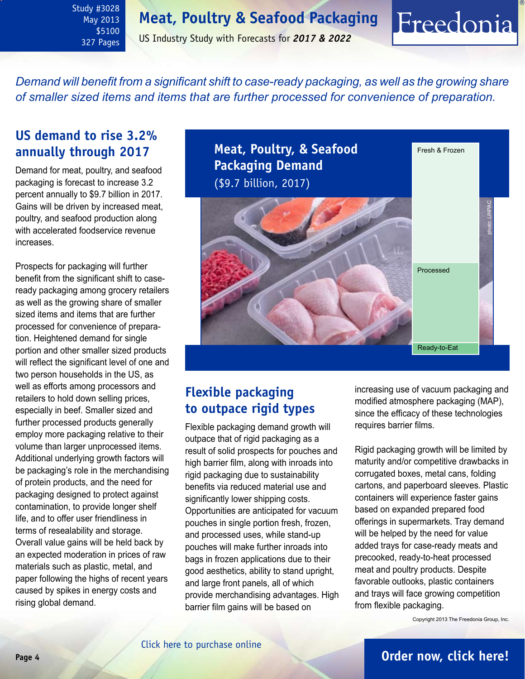<span id="page-3-0"></span>Study #3028 May 2013 \$5100 327 Pages

US Industry Study with Forecasts for *2017 & 2022*

*Demand will benefit from a significant shift to case-ready packaging, as well as the growing share of smaller sized items and items that are further processed for convenience of preparation.* 

### **US demand to rise 3.2% annually through 2017**

Demand for meat, poultry, and seafood packaging is forecast to increase 3.2 percent annually to \$9.7 billion in 2017. Gains will be driven by increased meat, poultry, and seafood production along with accelerated foodservice revenue increases.

Prospects for packaging will further benefit from the significant shift to caseready packaging among grocery retailers as well as the growing share of smaller sized items and items that are further processed for convenience of preparation. Heightened demand for single portion and other smaller sized products will reflect the significant level of one and two person households in the US, as well as efforts among processors and retailers to hold down selling prices, especially in beef. Smaller sized and further processed products generally employ more packaging relative to their volume than larger unprocessed items. Additional underlying growth factors will be packaging's role in the merchandising of protein products, and the need for packaging designed to protect against contamination, to provide longer shelf life, and to offer user friendliness in terms of resealability and storage. Overall value gains will be held back by an expected moderation in prices of raw materials such as plastic, metal, and paper following the highs of recent years caused by spikes in energy costs and rising global demand.

**Meat, Poultry, & Seafood Packaging Demand** (\$9.7 billion, 2017) Fresh & Frozen Processed Ready-to-Eat photo: LINPAC

### **Flexible packaging to outpace rigid types**

Flexible packaging demand growth will outpace that of rigid packaging as a result of solid prospects for pouches and high barrier film, along with inroads into rigid packaging due to sustainability benefits via reduced material use and significantly lower shipping costs. Opportunities are anticipated for vacuum pouches in single portion fresh, frozen, and processed uses, while stand-up pouches will make further inroads into bags in frozen applications due to their good aesthetics, ability to stand upright, and large front panels, all of which provide merchandising advantages. High barrier film gains will be based on

increasing use of vacuum packaging and modified atmosphere packaging (MAP), since the efficacy of these technologies requires barrier films.

Freedonia

Rigid packaging growth will be limited by maturity and/or competitive drawbacks in corrugated boxes, metal cans, folding cartons, and paperboard sleeves. Plastic containers will experience faster gains based on expanded prepared food offerings in supermarkets. Tray demand will be helped by the need for value added trays for case-ready meats and precooked, ready-to-heat processed meat and poultry products. Despite favorable outlooks, plastic containers and trays will face growing competition from flexible packaging.

Copyright 2013 The Freedonia Group, Inc.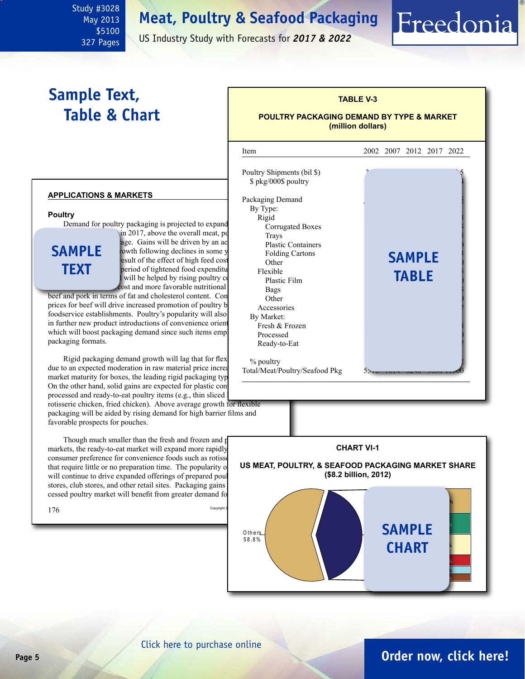May 2013 \$5100 327 Pages

<span id="page-4-0"></span>Study #3028

US Industry Study with Forecasts for *2017 & 2022*

### **Sample Text, Table & Chart**

### **TABLE V-3 POULTRY PACKAGING DEMAND BY TYPE & MARKET (million dollars)**

Freedonia

#### **applications & markets**

#### **Poultry**

Demand for poultry packaging is projected to expand  $\sin 2017$ , above the overall meat, poultry, and

**sample text**

age. Gains will be driven by an ac rowth following declines in some y Folding Cartons<br>
2007-2012 persult of the effect of high feed cost<br>
2012 persuad context of high feed cost<br>
2016-2016 period of tightened food expenditures. In a period of tightened food expenditure I will be helped by rising poultry consumed by rising poultry consumed by rising poultry consumed by  $\frac{d}{dt}$ cost and more favorable nutritional **Bags** 

beef and pork in terms of fat and cholesterol content. Con Other prices for beef will drive increased promotion of poultry by foodservice establishments. Poultry's popularity will also in further new product introductions of convenience orient which will boost packaging demand since such items employ packaging formats.

Rigid packaging demand growth will lag that for flex due to an expected moderation in raw material price increases market maturity for boxes, the leading rigid packaging typ On the other hand, solid gains are expected for plastic con processed and ready-to-eat poultry items (e.g., thin sliced

rotisserie chicken, fried chicken). Above average growth for flexible packaging will be aided by rising demand for high barrier films and favorable prospects for pouches.

Though much smaller than the fresh and frozen and processed markets, the ready-to-eat market will expand more rapidly consumer preference for convenience foods such as rotisse that require little or no preparation time. The popularity  $\sigma$ will continue to drive expanded offerings of prepared poul stores, club stores, and other retail sites. Packaging gains cessed poultry market will benefit from greater demand for

l Item 2002 2007 2012 2017 2022 Poultry Shipments (bil \$). \$ pkg/000\$ poultry Packaging Demand By Type: Rigid 1075 1415 1415 1424 1425 1426 1427 1427 1428 1424 1425 1425 1425 1426 1427 1427 1427 1427 1427 1427 1427 Corrugated Boxes  $\frac{1}{2}$  Trays  $\frac{1}{2}$ Plastic Containers Folding Cartons 106 125 144 167 193 **sample** Other  $\qquad \qquad$   $\qquad \qquad$   $\qquad$   $\qquad \qquad$   $\qquad$   $\qquad \qquad$   $\qquad$   $\qquad$   $\qquad$   $\qquad$   $\qquad$   $\qquad$   $\qquad$   $\qquad$   $\qquad$   $\qquad$   $\qquad$   $\qquad$   $\qquad$   $\qquad$   $\qquad$   $\qquad$   $\qquad$   $\qquad$   $\qquad$   $\qquad$   $\qquad$   $\qquad$   $\qquad$   $\qquad$   $\qquad$   $\qquad$   $\qquad$   $\qquad$ Flexible **7ABLE** Plastic Film  $\text{Bags}$  190  $\text{Bags}$  252  $\text{Bags}$  252  $\text{Bigs}$  Other 79 123 167 219 270 Accessories By Market: Fresh & Frozen Processed Ready-to-Eat % poultry Total/Meat/Poultry/Seafood Pkg



[Click here to purchase online](http://www.freedoniagroup.com/DocumentDetails.aspx?Referrerid=FM-Bro&StudyID=3028)

### **Page 5 [Order now, click here!](#page-6-0)**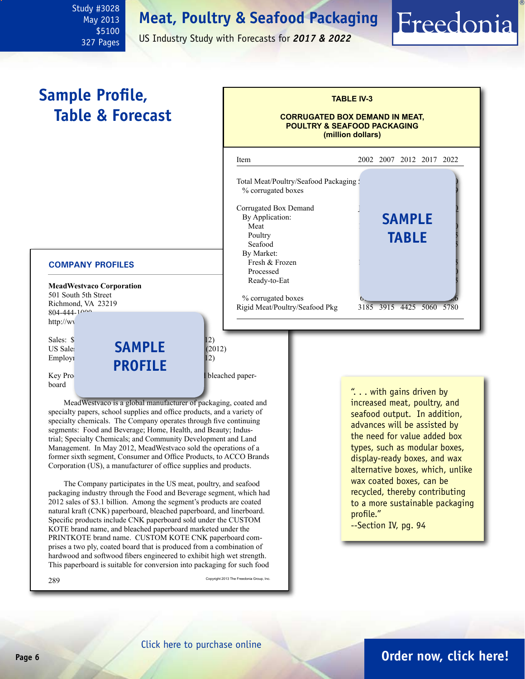<span id="page-5-0"></span>Study #3028 May 2013 \$5100 327 Pages

US Industry Study with Forecasts for *2017 & 2022*

#### **MeadWestvaco Corporation** 501 South 5th Street Richmond, VA 23219  $804 - 444 - 100$ http://ww Sales:  $\sqrt{5}$  **continuing operations** (2012) US Sales:  $\overrightarrow{S}$  **SAMPLE** (2012) Employment:  $\blacksquare$ Key Products: coated natural kraft paperboard MeadWestvaco is a global manufacturer of packaging, coated and specialty papers, school supplies and office products, and a variety of specialty chemicals. The Company operates through five continuing segments: Food and Beverage; Home, Health, and Beauty; Industrial; Specialty Chemicals; and Community Development and Land Management. In May 2012, MeadWestvaco sold the operations of a former sixth segment, Consumer and Office Products, to ACCO Brands Corporation (US), a manufacturer of office supplies and products. The Company participates in the US meat, poultry, and seafood packaging industry through the Food and Beverage segment, which had 2012 sales of \$3.1 billion. Among the segment's products are coated natural kraft (CNK) paperboard, bleached paperboard, and linerboard. Specific products include CNK paperboard sold under the CUSTOM KOTE brand name, and bleached paperboard marketed under the PRINTKOTE brand name. CUSTOM KOTE CNK paperboard comprises a two ply, coated board that is produced from a combination of **COMPANY PROFILES TABLE IV-3 CORRUGATED BOX DEMAND IN MEAT, POULTRY & SEAFOOD PACKAGING (million dollars)** i Item 2002 2007 2012 2017 2022 Total Meat/Poultry/Seafood Packaging : % corrugated boxes Corrugated Box Demand By Application: Meat 1180 1400 1570 1750 1950 Poultry **TABLE** Seafood By Market: Fresh & Frozen Processed Ready-to-Eat % corrugated boxes 6.4 6.4 6.4 5.5060 5780 6.4 5.4 5.4 6.4 5.50 6.4 5.4 5.50 5780 Rigid Meat/Poultry/Seafood Pkg **Sample Profile, Table & Forecast** ". . . with gains driven by increased meat, poultry, and seafood output. In addition, advances will be assisted by the need for value added box types, such as modular boxes, display-ready boxes, and wax alternative boxes, which, unlike wax coated boxes, can be recycled, thereby contributing to a more sustainable packaging profile." --Section IV, pg. 94 **profile sample**

 $289$  Copyright 2013 The Freedonia Group, Inc.

Freedonia

hardwood and softwood fibers engineered to exhibit high wet strength. This paperboard is suitable for conversion into packaging for such food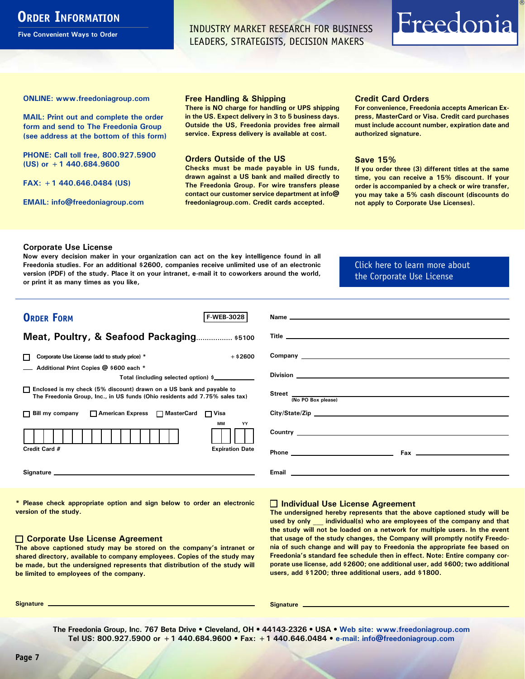### <span id="page-6-0"></span>**ORDER INFORMATION**

**Five Convenient Ways to Order**

INDUSTRY MARKET RESEARCH FOR BUSINESS LEADERS, STRATEGISTS, DECISION MAKERS

# Freedonia

**ONLINE: [www.freedoniagroup.com](http://www.freedoniagroup.com/DocumentDetails.aspx?Referrerid=FM-Bro&StudyID=3028)**

**MAIL: Print out and complete the order form and send to The Freedonia Group (see address at the bottom of this form)**

**PHONE: Call toll free, 800.927.5900 (US) or +1 440.684.9600**

**FAX: +1 440.646.0484 (US)**

**EMAIL: [info@freedoniagroup.com](mailto:info@freedoniagroup.com)**

#### **Free Handling & Shipping**

**There is NO charge for handling or UPS shipping in the US. Expect delivery in 3 to 5 business days. Outside the US, Freedonia provides free airmail service. Express delivery is available at cost.**

#### **Orders Outside of the US**

**Checks must be made payable in US funds, drawn against a US bank and mailed directly to The Freedonia Group. For wire transfers please contact our customer service department at info@ freedoniagroup.com. Credit cards accepted.**

#### **Credit Card Orders**

**For convenience, Freedonia accepts American Express, MasterCard or Visa. Credit card purchases must include account number, expiration date and authorized signature.**

#### **Save 15%**

**If you order three (3) different titles at the same time, you can receive a 15% discount. If your order is accompanied by a check or wire transfer, you may take a 5% cash discount (discounts do not apply to Corporate Use Licenses).**

#### **Corporate Use License**

**Now every decision maker in your organization can act on the key intelligence found in all Freedonia studies. For an additional \$2600, companies receive unlimited use of an electronic version (PDF) of the study. Place it on your intranet, e-mail it to coworkers around the world, or print it as many times as you like,** 

[Click here to learn more about](http://www.freedoniagroup.com/pdf/FreedoniaCULBro.pdf)  [the Corporate Use License](http://www.freedoniagroup.com/pdf/FreedoniaCULBro.pdf)

| <b>ORDER FORM</b><br><b>F WEB-3028</b>                                                                                                                |                                                                                                                                                                                                                                      |
|-------------------------------------------------------------------------------------------------------------------------------------------------------|--------------------------------------------------------------------------------------------------------------------------------------------------------------------------------------------------------------------------------------|
|                                                                                                                                                       |                                                                                                                                                                                                                                      |
| Meat, Poultry, & Seafood Packaging \$5100                                                                                                             | Title <u>the contract of the contract of the contract of the contract of the contract of the contract of the contract of the contract of the contract of the contract of the contract of the contract of the contract of the con</u> |
| $+ $2600$<br>Corporate Use License (add to study price) *<br>П                                                                                        |                                                                                                                                                                                                                                      |
| Additional Print Copies @ \$600 each *                                                                                                                |                                                                                                                                                                                                                                      |
| Total (including selected option) \$                                                                                                                  |                                                                                                                                                                                                                                      |
| □ Enclosed is my check (5% discount) drawn on a US bank and payable to<br>The Freedonia Group, Inc., in US funds (Ohio residents add 7.75% sales tax) | (No PO Box please)                                                                                                                                                                                                                   |
| □ Bill my company □ American Express □ MasterCard □ Visa                                                                                              |                                                                                                                                                                                                                                      |
| МM<br>YY                                                                                                                                              |                                                                                                                                                                                                                                      |
| Credit Card #<br><b>Expiration Date</b>                                                                                                               | <b>Phone <i>Phone</i></b>                                                                                                                                                                                                            |
|                                                                                                                                                       | Email and the contract of the contract of the contract of the contract of the contract of the contract of the                                                                                                                        |

**\* Please check appropriate option and sign below to order an electronic version of the study.**

#### **Corporate Use License Agreement**

**The above captioned study may be stored on the company's intranet or shared directory, available to company employees. Copies of the study may be made, but the undersigned represents that distribution of the study will be limited to employees of the company.**

#### **Individual Use License Agreement**

**The undersigned hereby represents that the above captioned study will be used by only \_\_\_ individual(s) who are employees of the company and that the study will not be loaded on a network for multiple users. In the event that usage of the study changes, the Company will promptly notify Freedonia of such change and will pay to Freedonia the appropriate fee based on Freedonia's standard fee schedule then in effect. Note: Entire company corporate use license, add \$2600; one additional user, add \$600; two additional users, add \$1200; three additional users, add \$1800.**

**Signature Signature**

**The Freedonia Group, Inc. 767 Beta Drive • Cleveland, OH • 44143-2326 • USA • [Web site: www.freedoniagroup.com](http://www.freedoniagroup.com/Home.aspx?ReferrerId=FM-Bro) Tel US: 800.927.5900 or +1 440.684.9600 • Fax: +1 440.646.0484 • [e-mail: info@freedoniagroup.com](mailto:info@freedoniagroup.com)**